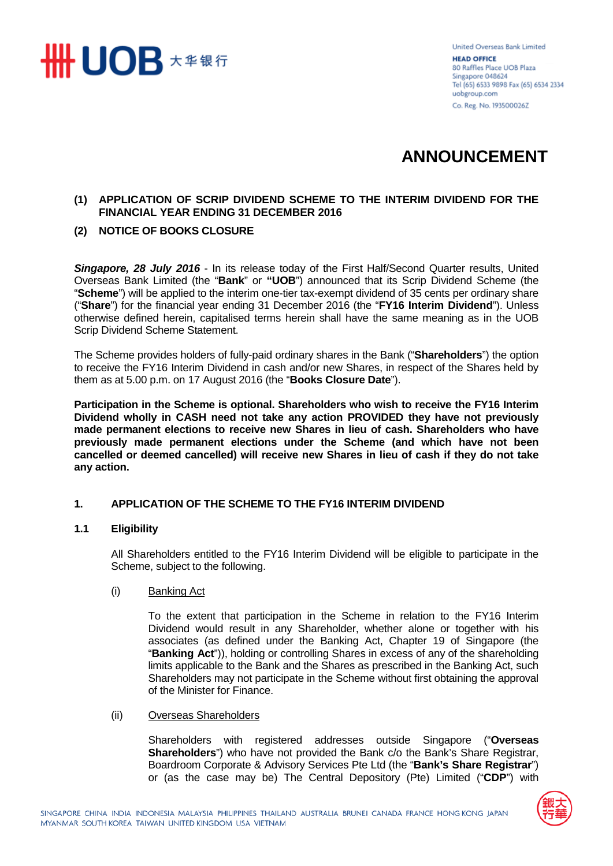

United Overseas Bank Limited **HEAD OFFICE** 80 Raffles Place UOB Plaza Singapore 048624 Tel (65) 6533 9898 Fax (65) 6534 2334 uobgroup.com Co. Reg. No. 193500026Z

# **ANNOUNCEMENT**

# **(1) APPLICATION OF SCRIP DIVIDEND SCHEME TO THE INTERIM DIVIDEND FOR THE FINANCIAL YEAR ENDING 31 DECEMBER 2016**

# **(2) NOTICE OF BOOKS CLOSURE**

*Singapore, 28 July 2016* - In its release today of the First Half/Second Quarter results, United Overseas Bank Limited (the "**Bank**" or **"UOB**") announced that its Scrip Dividend Scheme (the "**Scheme**") will be applied to the interim one-tier tax-exempt dividend of 35 cents per ordinary share ("**Share**") for the financial year ending 31 December 2016 (the "**FY16 Interim Dividend**"). Unless otherwise defined herein, capitalised terms herein shall have the same meaning as in the UOB Scrip Dividend Scheme Statement.

The Scheme provides holders of fully-paid ordinary shares in the Bank ("**Shareholders**") the option to receive the FY16 Interim Dividend in cash and/or new Shares, in respect of the Shares held by them as at 5.00 p.m. on 17 August 2016 (the "**Books Closure Date**").

**Participation in the Scheme is optional. Shareholders who wish to receive the FY16 Interim Dividend wholly in CASH need not take any action PROVIDED they have not previously made permanent elections to receive new Shares in lieu of cash. Shareholders who have previously made permanent elections under the Scheme (and which have not been cancelled or deemed cancelled) will receive new Shares in lieu of cash if they do not take any action.**

#### **1. APPLICATION OF THE SCHEME TO THE FY16 INTERIM DIVIDEND**

#### **1.1 Eligibility**

All Shareholders entitled to the FY16 Interim Dividend will be eligible to participate in the Scheme, subject to the following.

(i) Banking Act

To the extent that participation in the Scheme in relation to the FY16 Interim Dividend would result in any Shareholder, whether alone or together with his associates (as defined under the Banking Act, Chapter 19 of Singapore (the "**Banking Act**")), holding or controlling Shares in excess of any of the shareholding limits applicable to the Bank and the Shares as prescribed in the Banking Act, such Shareholders may not participate in the Scheme without first obtaining the approval of the Minister for Finance.

(ii) Overseas Shareholders

Shareholders with registered addresses outside Singapore ("**Overseas Shareholders**") who have not provided the Bank c/o the Bank's Share Registrar, Boardroom Corporate & Advisory Services Pte Ltd (the "**Bank's Share Registrar**") or (as the case may be) The Central Depository (Pte) Limited ("**CDP**") with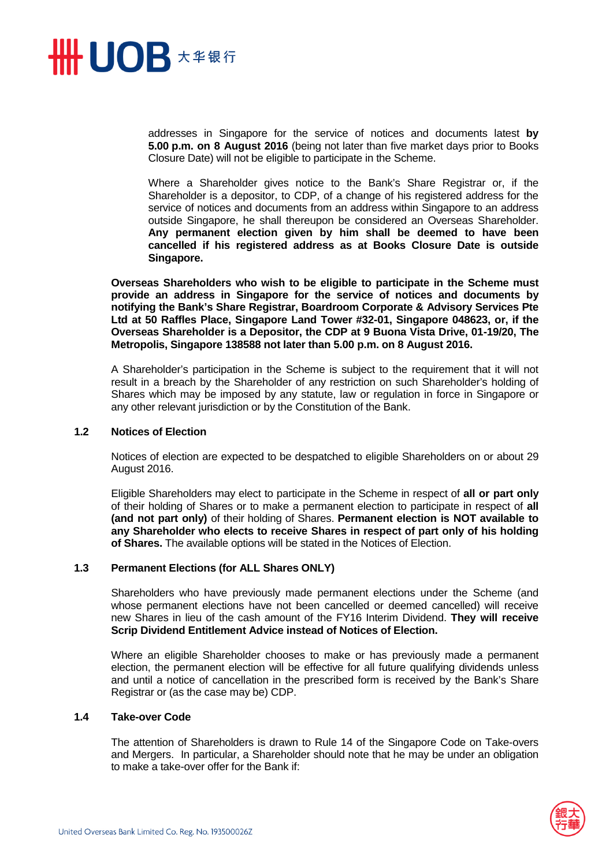

addresses in Singapore for the service of notices and documents latest **by 5.00 p.m. on 8 August 2016** (being not later than five market days prior to Books Closure Date) will not be eligible to participate in the Scheme.

Where a Shareholder gives notice to the Bank's Share Registrar or, if the Shareholder is a depositor, to CDP, of a change of his registered address for the service of notices and documents from an address within Singapore to an address outside Singapore, he shall thereupon be considered an Overseas Shareholder. **Any permanent election given by him shall be deemed to have been cancelled if his registered address as at Books Closure Date is outside Singapore.** 

**Overseas Shareholders who wish to be eligible to participate in the Scheme must provide an address in Singapore for the service of notices and documents by notifying the Bank's Share Registrar, Boardroom Corporate & Advisory Services Pte Ltd at 50 Raffles Place, Singapore Land Tower #32-01, Singapore 048623, or, if the Overseas Shareholder is a Depositor, the CDP at 9 Buona Vista Drive, 01-19/20, The Metropolis, Singapore 138588 not later than 5.00 p.m. on 8 August 2016.** 

A Shareholder's participation in the Scheme is subject to the requirement that it will not result in a breach by the Shareholder of any restriction on such Shareholder's holding of Shares which may be imposed by any statute, law or regulation in force in Singapore or any other relevant jurisdiction or by the Constitution of the Bank.

#### **1.2 Notices of Election**

Notices of election are expected to be despatched to eligible Shareholders on or about 29 August 2016.

Eligible Shareholders may elect to participate in the Scheme in respect of **all or part only**  of their holding of Shares or to make a permanent election to participate in respect of **all (and not part only)** of their holding of Shares. **Permanent election is NOT available to any Shareholder who elects to receive Shares in respect of part only of his holding of Shares.** The available options will be stated in the Notices of Election.

#### **1.3 Permanent Elections (for ALL Shares ONLY)**

Shareholders who have previously made permanent elections under the Scheme (and whose permanent elections have not been cancelled or deemed cancelled) will receive new Shares in lieu of the cash amount of the FY16 Interim Dividend. **They will receive Scrip Dividend Entitlement Advice instead of Notices of Election.** 

Where an eligible Shareholder chooses to make or has previously made a permanent election, the permanent election will be effective for all future qualifying dividends unless and until a notice of cancellation in the prescribed form is received by the Bank's Share Registrar or (as the case may be) CDP.

#### **1.4 Take-over Code**

The attention of Shareholders is drawn to Rule 14 of the Singapore Code on Take-overs and Mergers. In particular, a Shareholder should note that he may be under an obligation to make a take-over offer for the Bank if:

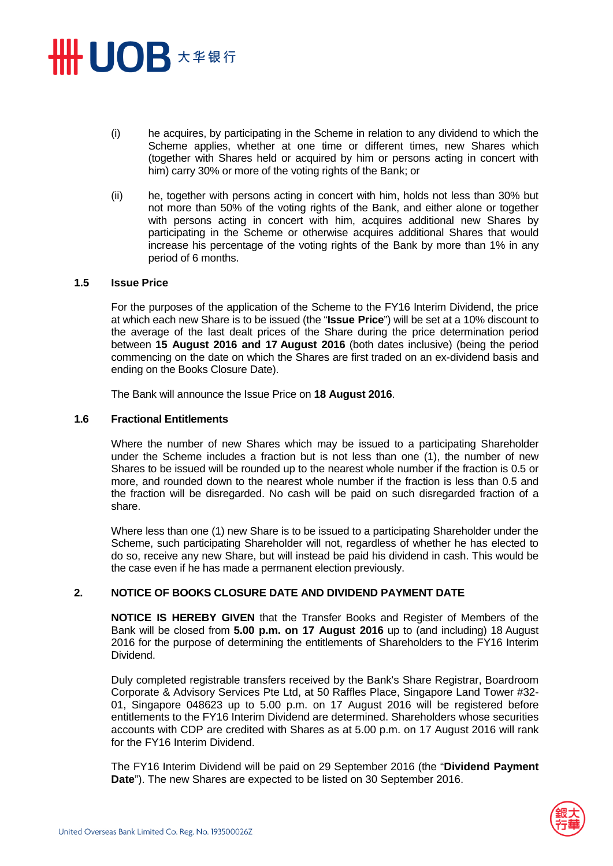# **HHUOB \*\*\*\***

- (i) he acquires, by participating in the Scheme in relation to any dividend to which the Scheme applies, whether at one time or different times, new Shares which (together with Shares held or acquired by him or persons acting in concert with him) carry 30% or more of the voting rights of the Bank; or
- (ii) he, together with persons acting in concert with him, holds not less than 30% but not more than 50% of the voting rights of the Bank, and either alone or together with persons acting in concert with him, acquires additional new Shares by participating in the Scheme or otherwise acquires additional Shares that would increase his percentage of the voting rights of the Bank by more than 1% in any period of 6 months.

#### **1.5 Issue Price**

For the purposes of the application of the Scheme to the FY16 Interim Dividend, the price at which each new Share is to be issued (the "**Issue Price**") will be set at a 10% discount to the average of the last dealt prices of the Share during the price determination period between **15 August 2016 and 17 August 2016** (both dates inclusive) (being the period commencing on the date on which the Shares are first traded on an ex-dividend basis and ending on the Books Closure Date).

The Bank will announce the Issue Price on **18 August 2016**.

#### **1.6 Fractional Entitlements**

Where the number of new Shares which may be issued to a participating Shareholder under the Scheme includes a fraction but is not less than one (1), the number of new Shares to be issued will be rounded up to the nearest whole number if the fraction is 0.5 or more, and rounded down to the nearest whole number if the fraction is less than 0.5 and the fraction will be disregarded. No cash will be paid on such disregarded fraction of a share.

Where less than one (1) new Share is to be issued to a participating Shareholder under the Scheme, such participating Shareholder will not, regardless of whether he has elected to do so, receive any new Share, but will instead be paid his dividend in cash. This would be the case even if he has made a permanent election previously.

# **2. NOTICE OF BOOKS CLOSURE DATE AND DIVIDEND PAYMENT DATE**

**NOTICE IS HEREBY GIVEN** that the Transfer Books and Register of Members of the Bank will be closed from **5.00 p.m. on 17 August 2016** up to (and including) 18 August 2016 for the purpose of determining the entitlements of Shareholders to the FY16 Interim Dividend.

Duly completed registrable transfers received by the Bank's Share Registrar, Boardroom Corporate & Advisory Services Pte Ltd, at 50 Raffles Place, Singapore Land Tower #32- 01, Singapore 048623 up to 5.00 p.m. on 17 August 2016 will be registered before entitlements to the FY16 Interim Dividend are determined. Shareholders whose securities accounts with CDP are credited with Shares as at 5.00 p.m. on 17 August 2016 will rank for the FY16 Interim Dividend.

The FY16 Interim Dividend will be paid on 29 September 2016 (the "**Dividend Payment Date**"). The new Shares are expected to be listed on 30 September 2016.